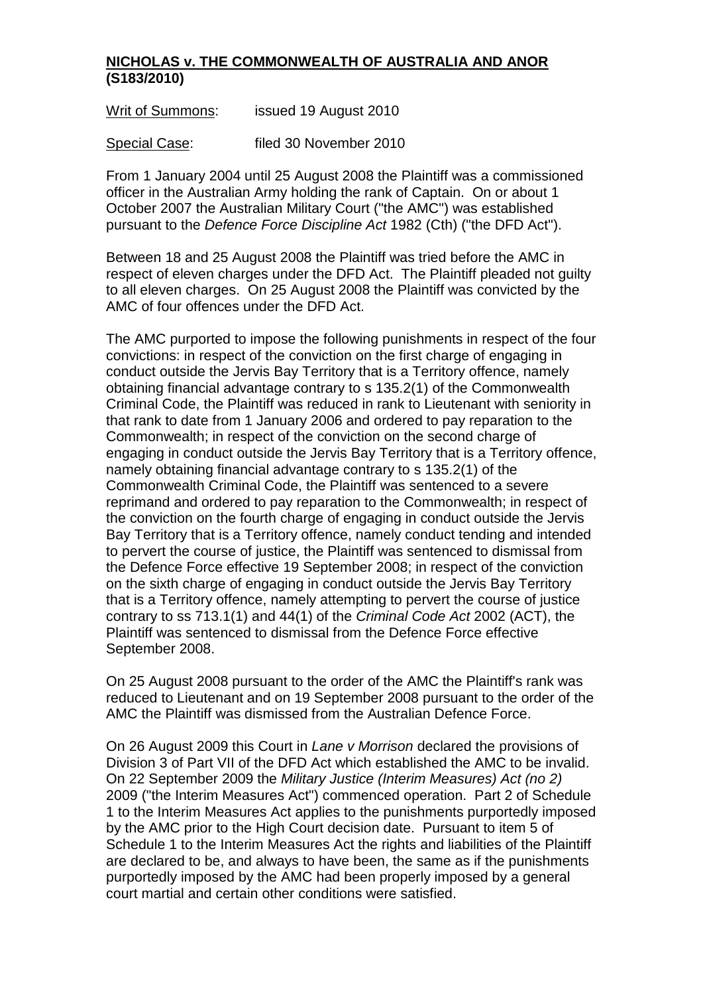## **NICHOLAS v. THE COMMONWEALTH OF AUSTRALIA AND ANOR (S183/2010)**

Writ of Summons: issued 19 August 2010

Special Case: filed 30 November 2010

From 1 January 2004 until 25 August 2008 the Plaintiff was a commissioned officer in the Australian Army holding the rank of Captain. On or about 1 October 2007 the Australian Military Court ("the AMC") was established pursuant to the *Defence Force Discipline Act* 1982 (Cth) ("the DFD Act").

Between 18 and 25 August 2008 the Plaintiff was tried before the AMC in respect of eleven charges under the DFD Act. The Plaintiff pleaded not guilty to all eleven charges. On 25 August 2008 the Plaintiff was convicted by the AMC of four offences under the DFD Act.

The AMC purported to impose the following punishments in respect of the four convictions: in respect of the conviction on the first charge of engaging in conduct outside the Jervis Bay Territory that is a Territory offence, namely obtaining financial advantage contrary to s 135.2(1) of the Commonwealth Criminal Code, the Plaintiff was reduced in rank to Lieutenant with seniority in that rank to date from 1 January 2006 and ordered to pay reparation to the Commonwealth; in respect of the conviction on the second charge of engaging in conduct outside the Jervis Bay Territory that is a Territory offence, namely obtaining financial advantage contrary to s 135.2(1) of the Commonwealth Criminal Code, the Plaintiff was sentenced to a severe reprimand and ordered to pay reparation to the Commonwealth; in respect of the conviction on the fourth charge of engaging in conduct outside the Jervis Bay Territory that is a Territory offence, namely conduct tending and intended to pervert the course of justice, the Plaintiff was sentenced to dismissal from the Defence Force effective 19 September 2008; in respect of the conviction on the sixth charge of engaging in conduct outside the Jervis Bay Territory that is a Territory offence, namely attempting to pervert the course of justice contrary to ss 713.1(1) and 44(1) of the *Criminal Code Act* 2002 (ACT), the Plaintiff was sentenced to dismissal from the Defence Force effective September 2008.

On 25 August 2008 pursuant to the order of the AMC the Plaintiff's rank was reduced to Lieutenant and on 19 September 2008 pursuant to the order of the AMC the Plaintiff was dismissed from the Australian Defence Force.

On 26 August 2009 this Court in *Lane v Morrison* declared the provisions of Division 3 of Part VII of the DFD Act which established the AMC to be invalid. On 22 September 2009 the *Military Justice (Interim Measures) Act (no 2)* 2009 ("the Interim Measures Act") commenced operation. Part 2 of Schedule 1 to the Interim Measures Act applies to the punishments purportedly imposed by the AMC prior to the High Court decision date. Pursuant to item 5 of Schedule 1 to the Interim Measures Act the rights and liabilities of the Plaintiff are declared to be, and always to have been, the same as if the punishments purportedly imposed by the AMC had been properly imposed by a general court martial and certain other conditions were satisfied.